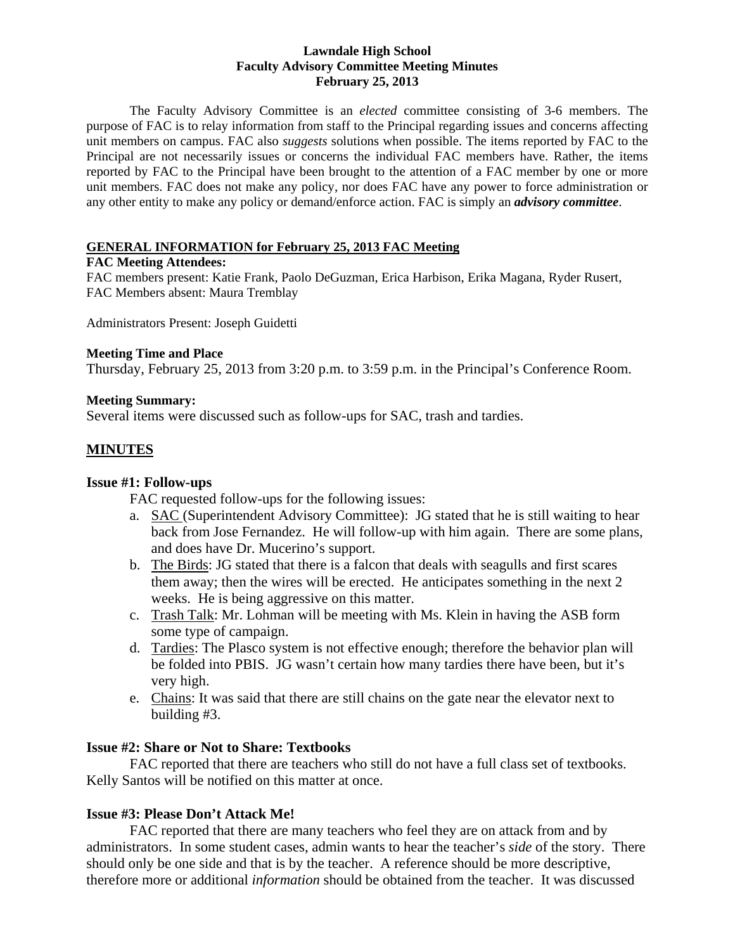#### **Lawndale High School Faculty Advisory Committee Meeting Minutes February 25, 2013**

The Faculty Advisory Committee is an *elected* committee consisting of 3-6 members. The purpose of FAC is to relay information from staff to the Principal regarding issues and concerns affecting unit members on campus. FAC also *suggests* solutions when possible. The items reported by FAC to the Principal are not necessarily issues or concerns the individual FAC members have. Rather, the items reported by FAC to the Principal have been brought to the attention of a FAC member by one or more unit members. FAC does not make any policy, nor does FAC have any power to force administration or any other entity to make any policy or demand/enforce action. FAC is simply an *advisory committee*.

#### **GENERAL INFORMATION for February 25, 2013 FAC Meeting**

#### **FAC Meeting Attendees:**

FAC members present: Katie Frank, Paolo DeGuzman, Erica Harbison, Erika Magana, Ryder Rusert, FAC Members absent: Maura Tremblay

Administrators Present: Joseph Guidetti

#### **Meeting Time and Place**

Thursday, February 25, 2013 from 3:20 p.m. to 3:59 p.m. in the Principal's Conference Room.

#### **Meeting Summary:**

Several items were discussed such as follow-ups for SAC, trash and tardies.

# **MINUTES**

#### **Issue #1: Follow-ups**

FAC requested follow-ups for the following issues:

- a. SAC (Superintendent Advisory Committee): JG stated that he is still waiting to hear back from Jose Fernandez. He will follow-up with him again. There are some plans, and does have Dr. Mucerino's support.
- b. The Birds: JG stated that there is a falcon that deals with seagulls and first scares them away; then the wires will be erected. He anticipates something in the next 2 weeks. He is being aggressive on this matter.
- c. Trash Talk: Mr. Lohman will be meeting with Ms. Klein in having the ASB form some type of campaign.
- d. Tardies: The Plasco system is not effective enough; therefore the behavior plan will be folded into PBIS. JG wasn't certain how many tardies there have been, but it's very high.
- e. Chains: It was said that there are still chains on the gate near the elevator next to building #3.

### **Issue #2: Share or Not to Share: Textbooks**

 FAC reported that there are teachers who still do not have a full class set of textbooks. Kelly Santos will be notified on this matter at once.

### **Issue #3: Please Don't Attack Me!**

FAC reported that there are many teachers who feel they are on attack from and by administrators. In some student cases, admin wants to hear the teacher's *side* of the story. There should only be one side and that is by the teacher. A reference should be more descriptive, therefore more or additional *information* should be obtained from the teacher. It was discussed